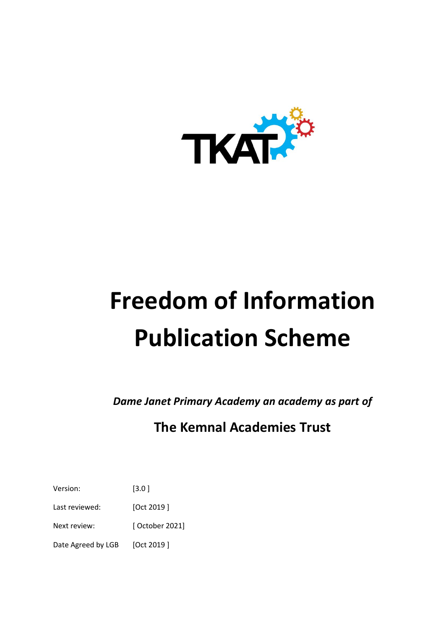

# **Freedom of Information Publication Scheme**

*Dame Janet Primary Academy an academy as part of* 

## **The Kemnal Academies Trust**

Version: [3.0 ]

Last reviewed: [Oct 2019]

Next review: [ October 2021]

Date Agreed by LGB [Oct 2019]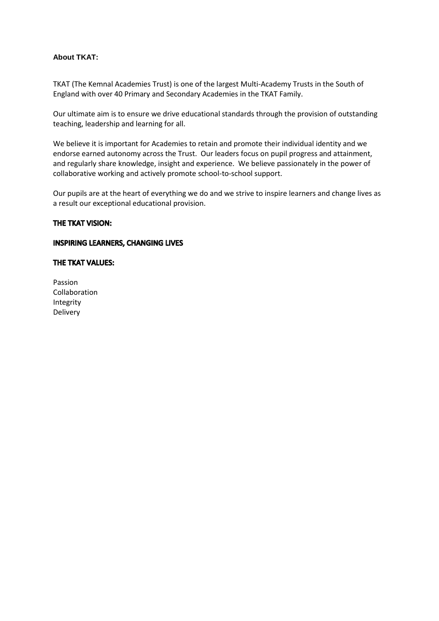#### **About TKAT:**

TKAT (The Kemnal Academies Trust) is one of the largest Multi-Academy Trusts in the South of England with over 40 Primary and Secondary Academies in the TKAT Family.

Our ultimate aim is to ensure we drive educational standards through the provision of outstanding teaching, leadership and learning for all.

We believe it is important for Academies to retain and promote their individual identity and we endorse earned autonomy across the Trust. Our leaders focus on pupil progress and attainment, and regularly share knowledge, insight and experience. We believe passionately in the power of collaborative working and actively promote school-to-school support.

Our pupils are at the heart of everything we do and we strive to inspire learners and change lives as a result our exceptional educational provision.

#### THE TKAT VISION:

#### **INSPIRING LEARNERS, CHANGING LIVES**

#### THE TKAT VALUES:

Passion Collaboration Integrity Delivery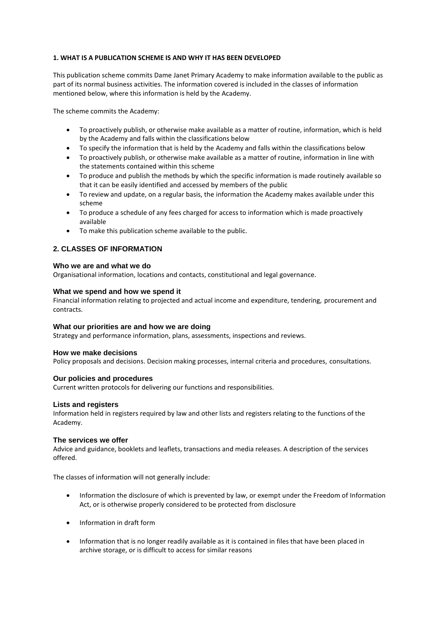#### **1. WHAT IS A PUBLICATION SCHEME IS AND WHY IT HAS BEEN DEVELOPED**

This publication scheme commits Dame Janet Primary Academy to make information available to the public as part of its normal business activities. The information covered is included in the classes of information mentioned below, where this information is held by the Academy.

The scheme commits the Academy:

- To proactively publish, or otherwise make available as a matter of routine, information, which is held by the Academy and falls within the classifications below
- To specify the information that is held by the Academy and falls within the classifications below
- To proactively publish, or otherwise make available as a matter of routine, information in line with the statements contained within this scheme
- To produce and publish the methods by which the specific information is made routinely available so that it can be easily identified and accessed by members of the public
- To review and update, on a regular basis, the information the Academy makes available under this scheme
- To produce a schedule of any fees charged for access to information which is made proactively available
- To make this publication scheme available to the public.

#### **2. CLASSES OF INFORMATION**

#### **Who we are and what we do**

Organisational information, locations and contacts, constitutional and legal governance.

#### **What we spend and how we spend it**

Financial information relating to projected and actual income and expenditure, tendering, procurement and contracts.

#### **What our priorities are and how we are doing**

Strategy and performance information, plans, assessments, inspections and reviews.

#### **How we make decisions**

Policy proposals and decisions. Decision making processes, internal criteria and procedures, consultations.

#### **Our policies and procedures**

Current written protocols for delivering our functions and responsibilities.

#### **Lists and registers**

Information held in registers required by law and other lists and registers relating to the functions of the Academy.

#### **The services we offer**

Advice and guidance, booklets and leaflets, transactions and media releases. A description of the services offered.

The classes of information will not generally include:

- Information the disclosure of which is prevented by law, or exempt under the Freedom of Information Act, or is otherwise properly considered to be protected from disclosure
- Information in draft form
- Information that is no longer readily available as it is contained in files that have been placed in archive storage, or is difficult to access for similar reasons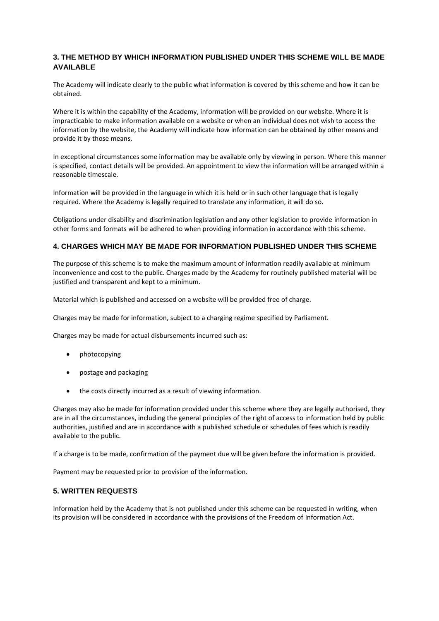#### **3. THE METHOD BY WHICH INFORMATION PUBLISHED UNDER THIS SCHEME WILL BE MADE AVAILABLE**

The Academy will indicate clearly to the public what information is covered by this scheme and how it can be obtained.

Where it is within the capability of the Academy, information will be provided on our website. Where it is impracticable to make information available on a website or when an individual does not wish to access the information by the website, the Academy will indicate how information can be obtained by other means and provide it by those means.

In exceptional circumstances some information may be available only by viewing in person. Where this manner is specified, contact details will be provided. An appointment to view the information will be arranged within a reasonable timescale.

Information will be provided in the language in which it is held or in such other language that is legally required. Where the Academy is legally required to translate any information, it will do so.

Obligations under disability and discrimination legislation and any other legislation to provide information in other forms and formats will be adhered to when providing information in accordance with this scheme.

#### **4. CHARGES WHICH MAY BE MADE FOR INFORMATION PUBLISHED UNDER THIS SCHEME**

The purpose of this scheme is to make the maximum amount of information readily available at minimum inconvenience and cost to the public. Charges made by the Academy for routinely published material will be justified and transparent and kept to a minimum.

Material which is published and accessed on a website will be provided free of charge.

Charges may be made for information, subject to a charging regime specified by Parliament.

Charges may be made for actual disbursements incurred such as:

- photocopying
- postage and packaging
- the costs directly incurred as a result of viewing information.

Charges may also be made for information provided under this scheme where they are legally authorised, they are in all the circumstances, including the general principles of the right of access to information held by public authorities, justified and are in accordance with a published schedule or schedules of fees which is readily available to the public.

If a charge is to be made, confirmation of the payment due will be given before the information is provided.

Payment may be requested prior to provision of the information.

#### **5. WRITTEN REQUESTS**

Information held by the Academy that is not published under this scheme can be requested in writing, when its provision will be considered in accordance with the provisions of the Freedom of Information Act.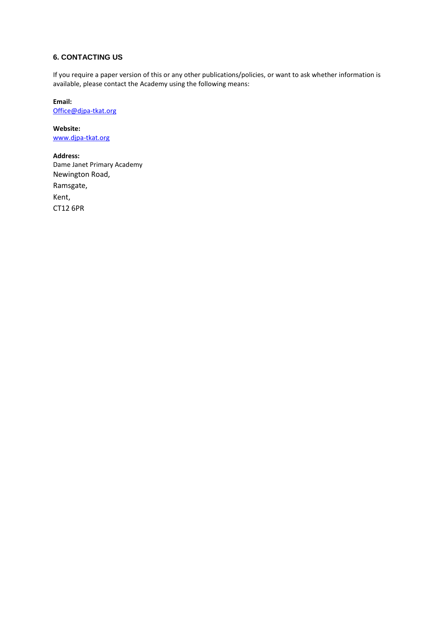#### **6. CONTACTING US**

If you require a paper version of this or any other publications/policies, or want to ask whether information is available, please contact the Academy using the following means:

**Email:** [Office@djpa-tkat.org](mailto:Office@djpa-tkat.org)

**Website:** [www.djpa-tkat.org](http://www.djpa-tkat.org/)

**Address:** Dame Janet Primary Academy Newington Road, Ramsgate, Kent, CT12 6PR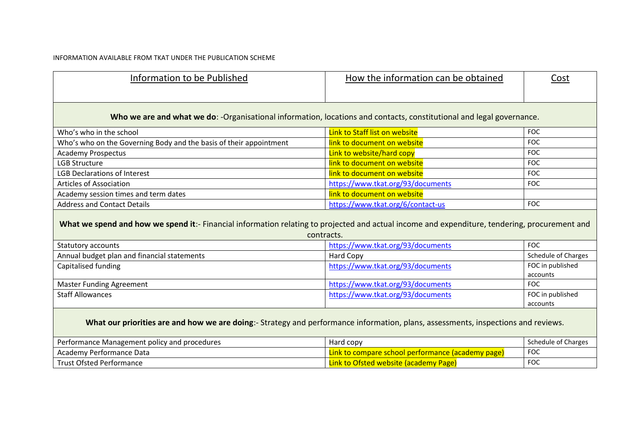#### INFORMATION AVAILABLE FROM TKAT UNDER THE PUBLICATION SCHEME

| Information to be Published                                                                                                                                 | How the information can be obtained               | Cost                         |  |  |
|-------------------------------------------------------------------------------------------------------------------------------------------------------------|---------------------------------------------------|------------------------------|--|--|
| Who we are and what we do: -Organisational information, locations and contacts, constitutional and legal governance.                                        |                                                   |                              |  |  |
| Who's who in the school                                                                                                                                     | Link to Staff list on website                     | <b>FOC</b>                   |  |  |
| Who's who on the Governing Body and the basis of their appointment                                                                                          | link to document on website                       | <b>FOC</b>                   |  |  |
| <b>Academy Prospectus</b>                                                                                                                                   | Link to website/hard copy                         | <b>FOC</b>                   |  |  |
| <b>LGB Structure</b>                                                                                                                                        | link to document on website                       | <b>FOC</b>                   |  |  |
| <b>LGB Declarations of Interest</b>                                                                                                                         | link to document on website                       | <b>FOC</b>                   |  |  |
| <b>Articles of Association</b>                                                                                                                              | https://www.tkat.org/93/documents                 | <b>FOC</b>                   |  |  |
| Academy session times and term dates                                                                                                                        | link to document on website                       |                              |  |  |
| <b>Address and Contact Details</b>                                                                                                                          | https://www.tkat.org/6/contact-us                 | <b>FOC</b>                   |  |  |
| What we spend and how we spend it:- Financial information relating to projected and actual income and expenditure, tendering, procurement and<br>contracts. |                                                   |                              |  |  |
| <b>Statutory accounts</b>                                                                                                                                   | https://www.tkat.org/93/documents                 | <b>FOC</b>                   |  |  |
| Annual budget plan and financial statements                                                                                                                 | Hard Copy                                         | Schedule of Charges          |  |  |
| Capitalised funding                                                                                                                                         | https://www.tkat.org/93/documents                 | FOC in published<br>accounts |  |  |
| <b>Master Funding Agreement</b>                                                                                                                             | https://www.tkat.org/93/documents                 | <b>FOC</b>                   |  |  |
| <b>Staff Allowances</b>                                                                                                                                     | https://www.tkat.org/93/documents                 | FOC in published<br>accounts |  |  |
| What our priorities are and how we are doing:- Strategy and performance information, plans, assessments, inspections and reviews.                           |                                                   |                              |  |  |
| Performance Management policy and procedures                                                                                                                | Hard copy                                         | Schedule of Charges          |  |  |
| Academy Performance Data                                                                                                                                    | Link to compare school performance (academy page) | <b>FOC</b>                   |  |  |
| <b>Trust Ofsted Performance</b>                                                                                                                             | Link to Ofsted website (academy Page)             | <b>FOC</b>                   |  |  |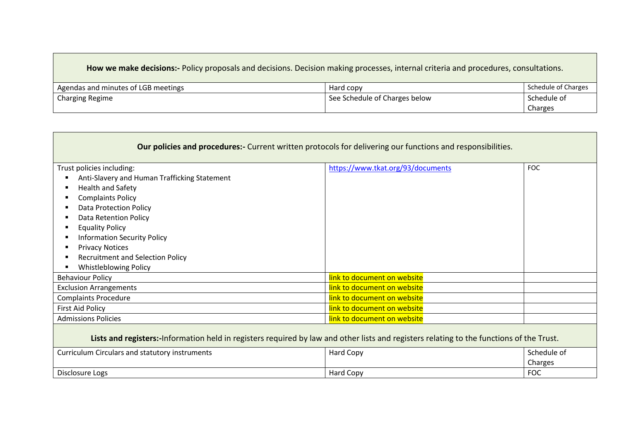### **How we make decisions:-** Policy proposals and decisions. Decision making processes, internal criteria and procedures, consultations.

| Agendas and minutes of LGB meetings | Hard copy                     | <b>Schedule of Charges</b> |
|-------------------------------------|-------------------------------|----------------------------|
| Charging Regime                     | See Schedule of Charges below | Schedule of                |
|                                     |                               | Charges                    |

| <b>Our policies and procedures:-</b> Current written protocols for delivering our functions and responsibilities.                        |                                   |             |  |
|------------------------------------------------------------------------------------------------------------------------------------------|-----------------------------------|-------------|--|
| Trust policies including:                                                                                                                | https://www.tkat.org/93/documents | <b>FOC</b>  |  |
| Anti-Slavery and Human Trafficking Statement                                                                                             |                                   |             |  |
| Health and Safety                                                                                                                        |                                   |             |  |
| <b>Complaints Policy</b>                                                                                                                 |                                   |             |  |
| <b>Data Protection Policy</b>                                                                                                            |                                   |             |  |
| <b>Data Retention Policy</b>                                                                                                             |                                   |             |  |
| <b>Equality Policy</b>                                                                                                                   |                                   |             |  |
| <b>Information Security Policy</b>                                                                                                       |                                   |             |  |
| <b>Privacy Notices</b>                                                                                                                   |                                   |             |  |
| <b>Recruitment and Selection Policy</b>                                                                                                  |                                   |             |  |
| <b>Whistleblowing Policy</b>                                                                                                             |                                   |             |  |
| <b>Behaviour Policy</b>                                                                                                                  | link to document on website       |             |  |
| <b>Exclusion Arrangements</b>                                                                                                            | link to document on website       |             |  |
| <b>Complaints Procedure</b>                                                                                                              | link to document on website       |             |  |
| <b>First Aid Policy</b>                                                                                                                  | link to document on website       |             |  |
| <b>Admissions Policies</b>                                                                                                               | link to document on website       |             |  |
| Lists and registers:-Information held in registers required by law and other lists and registers relating to the functions of the Trust. |                                   |             |  |
| Curriculum Circulars and statutory instruments                                                                                           | Hard Copy                         | Schedule of |  |
|                                                                                                                                          |                                   | Charges     |  |
| Disclosure Logs                                                                                                                          | Hard Copy                         | <b>FOC</b>  |  |